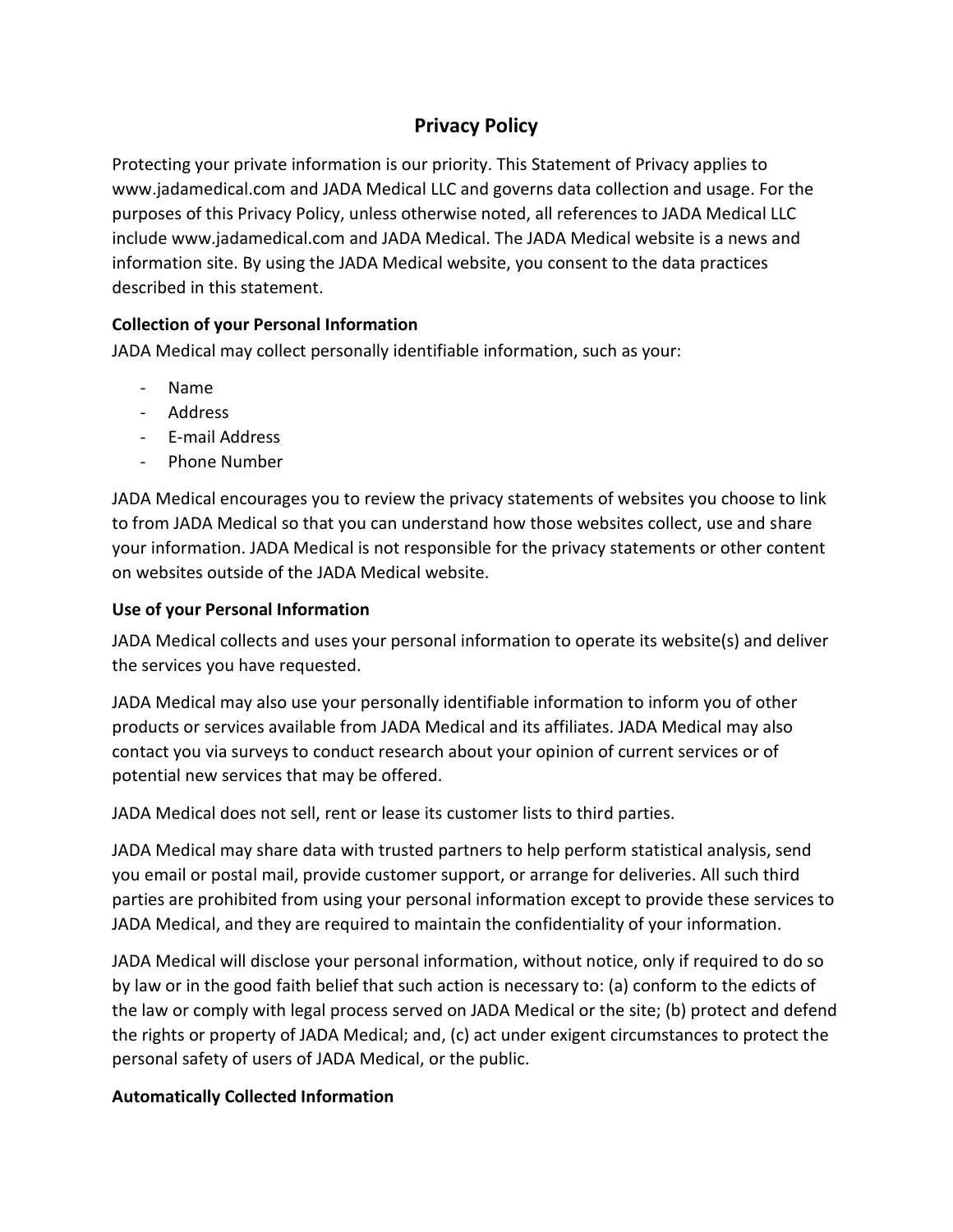# **Privacy Policy**

Protecting your private information is our priority. This Statement of Privacy applies to www.jadamedical.com and JADA Medical LLC and governs data collection and usage. For the purposes of this Privacy Policy, unless otherwise noted, all references to JADA Medical LLC include www.jadamedical.com and JADA Medical. The JADA Medical website is a news and information site. By using the JADA Medical website, you consent to the data practices described in this statement.

## **Collection of your Personal Information**

JADA Medical may collect personally identifiable information, such as your:

- Name
- Address
- E-mail Address
- Phone Number

JADA Medical encourages you to review the privacy statements of websites you choose to link to from JADA Medical so that you can understand how those websites collect, use and share your information. JADA Medical is not responsible for the privacy statements or other content on websites outside of the JADA Medical website.

### **Use of your Personal Information**

JADA Medical collects and uses your personal information to operate its website(s) and deliver the services you have requested.

JADA Medical may also use your personally identifiable information to inform you of other products or services available from JADA Medical and its affiliates. JADA Medical may also contact you via surveys to conduct research about your opinion of current services or of potential new services that may be offered.

JADA Medical does not sell, rent or lease its customer lists to third parties.

JADA Medical may share data with trusted partners to help perform statistical analysis, send you email or postal mail, provide customer support, or arrange for deliveries. All such third parties are prohibited from using your personal information except to provide these services to JADA Medical, and they are required to maintain the confidentiality of your information.

JADA Medical will disclose your personal information, without notice, only if required to do so by law or in the good faith belief that such action is necessary to: (a) conform to the edicts of the law or comply with legal process served on JADA Medical or the site; (b) protect and defend the rights or property of JADA Medical; and, (c) act under exigent circumstances to protect the personal safety of users of JADA Medical, or the public.

### **Automatically Collected Information**